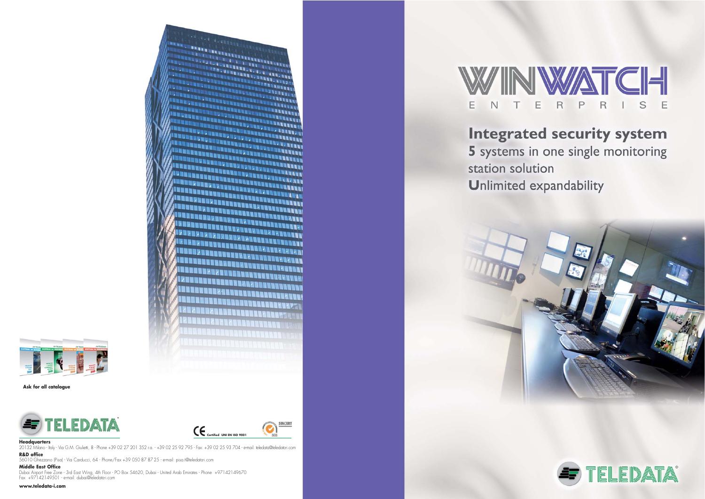

### **Headquarters**

20132 Milano - Italy - Via G.M. Giulietti, 8 - Phone +39 02 27 201 352 r.a. - +39 02 25 92 795 - Fax: +39 02 25 93 704 - e-mail: teledata@teledata-i.com **R&D office**

56010 Ghezzano (Pisa) - Via Carducci, 64 - Phone/Fax +39 050 87 87 25 - e-mail: pisa.t@teledata-i.com

### **Middle East Office**

Dubai Airport Free Zone - 3rd East Wing, 4th Floor - PO Box 54620, Dubai - United Arab Emirates - Phone +97142149670 Fax +97142149501 - e-mail: dubai@teledata-i.com

### **www.teledata-i.com**



# **Integrated security system** 5 systems in one single monitoring

station solution



**Unlimited expandability** 





#### **Ask for all catalogue**